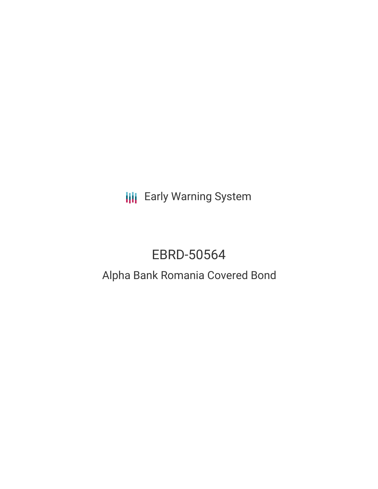**III** Early Warning System

# EBRD-50564

# Alpha Bank Romania Covered Bond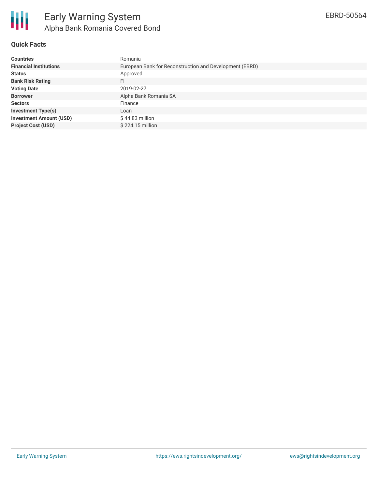

# **Quick Facts**

| <b>Countries</b>               | Romania                                                 |  |  |  |  |
|--------------------------------|---------------------------------------------------------|--|--|--|--|
| <b>Financial Institutions</b>  | European Bank for Reconstruction and Development (EBRD) |  |  |  |  |
| <b>Status</b>                  | Approved                                                |  |  |  |  |
| <b>Bank Risk Rating</b>        | FI                                                      |  |  |  |  |
| <b>Voting Date</b>             | 2019-02-27                                              |  |  |  |  |
| <b>Borrower</b>                | Alpha Bank Romania SA                                   |  |  |  |  |
| <b>Sectors</b>                 | Finance                                                 |  |  |  |  |
| <b>Investment Type(s)</b>      | Loan                                                    |  |  |  |  |
| <b>Investment Amount (USD)</b> | $$44.83$ million                                        |  |  |  |  |
| <b>Project Cost (USD)</b>      | \$224.15 million                                        |  |  |  |  |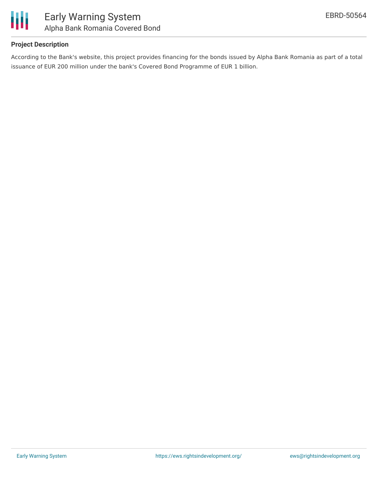

## **Project Description**

According to the Bank's website, this project provides financing for the bonds issued by Alpha Bank Romania as part of a total issuance of EUR 200 million under the bank's Covered Bond Programme of EUR 1 billion.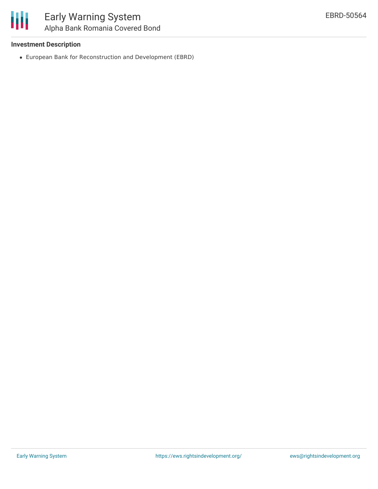#### **Investment Description**

European Bank for Reconstruction and Development (EBRD)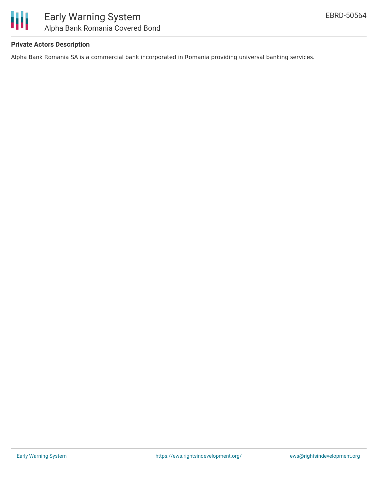

### **Private Actors Description**

Alpha Bank Romania SA is a commercial bank incorporated in Romania providing universal banking services.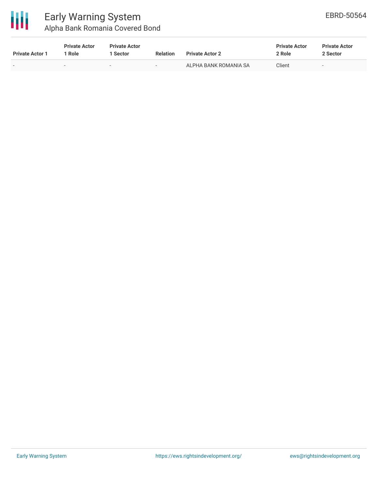

| <b>Private Actor 1</b>   | <b>Private Actor</b><br>1 Role | <b>Private Actor</b><br>Sector | <b>Relation</b>          | <b>Private Actor 2</b> | <b>Private Actor</b><br>2 Role | <b>Private Actor</b><br>2 Sector |
|--------------------------|--------------------------------|--------------------------------|--------------------------|------------------------|--------------------------------|----------------------------------|
| $\overline{\phantom{0}}$ |                                | $\sim$                         | $\overline{\phantom{a}}$ | ALPHA BANK ROMANIA SA  | Client                         | $\overline{\phantom{0}}$         |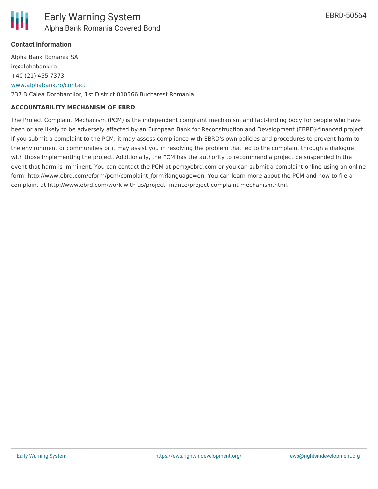

# **Contact Information**

Alpha Bank Romania SA ir@alphabank.ro +40 (21) 455 7373 [www.alphabank.ro/contact](http://www.alphabank.ro/contact) 237 B Calea Dorobantilor, 1st District 010566 Bucharest Romania

#### **ACCOUNTABILITY MECHANISM OF EBRD**

The Project Complaint Mechanism (PCM) is the independent complaint mechanism and fact-finding body for people who have been or are likely to be adversely affected by an European Bank for Reconstruction and Development (EBRD)-financed project. If you submit a complaint to the PCM, it may assess compliance with EBRD's own policies and procedures to prevent harm to the environment or communities or it may assist you in resolving the problem that led to the complaint through a dialogue with those implementing the project. Additionally, the PCM has the authority to recommend a project be suspended in the event that harm is imminent. You can contact the PCM at pcm@ebrd.com or you can submit a complaint online using an online form, http://www.ebrd.com/eform/pcm/complaint\_form?language=en. You can learn more about the PCM and how to file a complaint at http://www.ebrd.com/work-with-us/project-finance/project-complaint-mechanism.html.